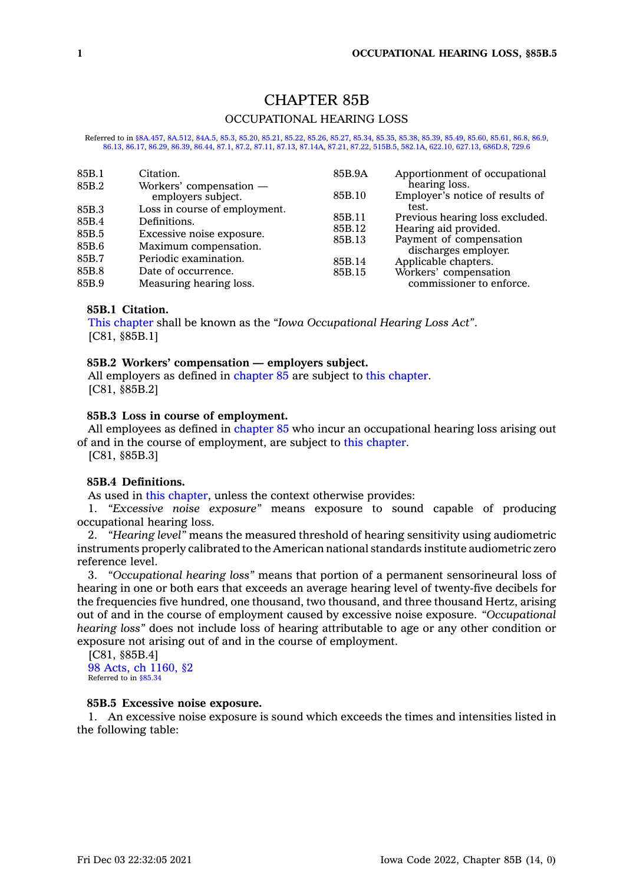# CHAPTER 85B OCCUPATIONAL HEARING LOSS

Referred to in [§8A.457](https://www.legis.iowa.gov/docs/code/8A.457.pdf), [8A.512](https://www.legis.iowa.gov/docs/code/8A.512.pdf), [84A.5](https://www.legis.iowa.gov/docs/code/84A.5.pdf), [85.3](https://www.legis.iowa.gov/docs/code/85.3.pdf), [85.20,](https://www.legis.iowa.gov/docs/code/85.20.pdf) [85.21](https://www.legis.iowa.gov/docs/code/85.21.pdf), [85.22](https://www.legis.iowa.gov/docs/code/85.22.pdf), [85.26](https://www.legis.iowa.gov/docs/code/85.26.pdf), [85.27](https://www.legis.iowa.gov/docs/code/85.27.pdf), [85.34](https://www.legis.iowa.gov/docs/code/85.34.pdf), [85.35,](https://www.legis.iowa.gov/docs/code/85.35.pdf) [85.38](https://www.legis.iowa.gov/docs/code/85.38.pdf), [85.39](https://www.legis.iowa.gov/docs/code/85.39.pdf), [85.49](https://www.legis.iowa.gov/docs/code/85.49.pdf), [85.60](https://www.legis.iowa.gov/docs/code/85.60.pdf), [85.61](https://www.legis.iowa.gov/docs/code/85.61.pdf), [86.8](https://www.legis.iowa.gov/docs/code/86.8.pdf), [86.9](https://www.legis.iowa.gov/docs/code/86.9.pdf), [86.13](https://www.legis.iowa.gov/docs/code/86.13.pdf), [86.17](https://www.legis.iowa.gov/docs/code/86.17.pdf), [86.29](https://www.legis.iowa.gov/docs/code/86.29.pdf), [86.39](https://www.legis.iowa.gov/docs/code/86.39.pdf), [86.44](https://www.legis.iowa.gov/docs/code/86.44.pdf), [87.1](https://www.legis.iowa.gov/docs/code/87.1.pdf), [87.2](https://www.legis.iowa.gov/docs/code/87.2.pdf), [87.11](https://www.legis.iowa.gov/docs/code/87.11.pdf), [87.13](https://www.legis.iowa.gov/docs/code/87.13.pdf), [87.14A](https://www.legis.iowa.gov/docs/code/87.14A.pdf), [87.21](https://www.legis.iowa.gov/docs/code/87.21.pdf), [87.22](https://www.legis.iowa.gov/docs/code/87.22.pdf), [515B.5](https://www.legis.iowa.gov/docs/code/515B.5.pdf), [582.1A](https://www.legis.iowa.gov/docs/code/582.1A.pdf), [622.10](https://www.legis.iowa.gov/docs/code/622.10.pdf), [627.13](https://www.legis.iowa.gov/docs/code/627.13.pdf), [686D.8](https://www.legis.iowa.gov/docs/code/686D.8.pdf), [729.6](https://www.legis.iowa.gov/docs/code/729.6.pdf)

| 85B.1 | Citation.                                     | 85B.9A | Apportionment of occupational                    |
|-------|-----------------------------------------------|--------|--------------------------------------------------|
| 85B.2 | Workers' compensation -<br>employers subject. | 85B.10 | hearing loss.<br>Employer's notice of results of |
| 85B.3 | Loss in course of employment.                 |        | test.                                            |
| 85B.4 | Definitions.                                  | 85B.11 | Previous hearing loss excluded.                  |
| 85B.5 |                                               | 85B.12 | Hearing aid provided.                            |
|       | Excessive noise exposure.                     | 85B.13 | Payment of compensation                          |
| 85B.6 | Maximum compensation.                         |        | discharges employer.                             |
| 85B.7 | Periodic examination.                         | 85B.14 | Applicable chapters.                             |
| 85B.8 | Date of occurrence.                           | 85B.15 | Workers' compensation                            |
| 85B.9 | Measuring hearing loss.                       |        | commissioner to enforce.                         |

## **85B.1 Citation.**

This [chapter](https://www.legis.iowa.gov/docs/code//85B.pdf) shall be known as the *"Iowa Occupational Hearing Loss Act"*. [C81, §85B.1]

#### **85B.2 Workers' compensation — employers subject.**

All employers as defined in [chapter](https://www.legis.iowa.gov/docs/code//85B.pdf) 85 are subject to this chapter. [C81, §85B.2]

## **85B.3 Loss in course of employment.**

All employees as defined in [chapter](https://www.legis.iowa.gov/docs/code//85.pdf) 85 who incur an occupational hearing loss arising out of and in the course of employment, are subject to this [chapter](https://www.legis.iowa.gov/docs/code//85B.pdf).

[C81, §85B.3]

## **85B.4 Definitions.**

As used in this [chapter](https://www.legis.iowa.gov/docs/code//85B.pdf), unless the context otherwise provides:

1. *"Excessive noise exposure"* means exposure to sound capable of producing occupational hearing loss.

2. *"Hearing level"* means the measured threshold of hearing sensitivity using audiometric instruments properly calibrated to the American national standards institute audiometric zero reference level.

3. *"Occupational hearing loss"* means that portion of <sup>a</sup> permanent sensorineural loss of hearing in one or both ears that exceeds an average hearing level of twenty-five decibels for the frequencies five hundred, one thousand, two thousand, and three thousand Hertz, arising out of and in the course of employment caused by excessive noise exposure. *"Occupational hearing loss"* does not include loss of hearing attributable to age or any other condition or exposure not arising out of and in the course of employment.

[C81, §85B.4] 98 Acts, ch [1160,](https://www.legis.iowa.gov/docs/acts/1998/CH1160.pdf) §2 Referred to in [§85.34](https://www.legis.iowa.gov/docs/code/85.34.pdf)

## **85B.5 Excessive noise exposure.**

1. An excessive noise exposure is sound which exceeds the times and intensities listed in the following table: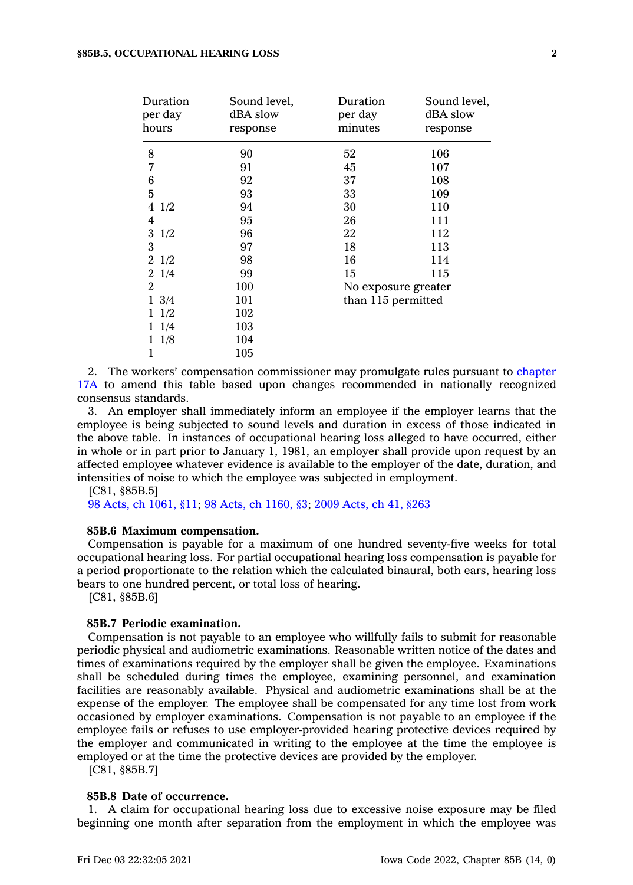| Duration<br>per day<br>hours | Sound level,<br>dBA slow<br>response | Duration<br>per day<br>minutes | Sound level,<br>dBA slow<br>response |
|------------------------------|--------------------------------------|--------------------------------|--------------------------------------|
| 8                            | 90                                   | 52                             | 106                                  |
| 7                            | 91                                   | 45                             | 107                                  |
| 6                            | 92                                   | 37                             | 108                                  |
| 5                            | 93                                   | 33                             | 109                                  |
| 4<br>1/2                     | 94                                   | 30                             | 110                                  |
| 4                            | 95                                   | 26                             | 111                                  |
| 3<br>1/2                     | 96                                   | 22                             | 112                                  |
| 3                            | 97                                   | 18                             | 113                                  |
| 21/2                         | 98                                   | 16                             | 114                                  |
| 21/4                         | 99                                   | 15                             | 115                                  |
| 2                            | 100                                  | No exposure greater            |                                      |
| $1 \frac{3}{4}$              | 101                                  | than 115 permitted             |                                      |
| 1/2                          | 102                                  |                                |                                      |
| $1 \t1/4$                    | 103                                  |                                |                                      |
| 1/8<br>1                     | 104                                  |                                |                                      |
| 1                            | 105                                  |                                |                                      |

2. The workers' compensation commissioner may promulgate rules pursuant to [chapter](https://www.legis.iowa.gov/docs/code//17A.pdf) [17A](https://www.legis.iowa.gov/docs/code//17A.pdf) to amend this table based upon changes recommended in nationally recognized consensus standards.

3. An employer shall immediately inform an employee if the employer learns that the employee is being subjected to sound levels and duration in excess of those indicated in the above table. In instances of occupational hearing loss alleged to have occurred, either in whole or in part prior to January 1, 1981, an employer shall provide upon request by an affected employee whatever evidence is available to the employer of the date, duration, and intensities of noise to which the employee was subjected in employment.

[C81, §85B.5]

98 Acts, ch [1061,](https://www.legis.iowa.gov/docs/acts/1998/CH1061.pdf) §11; 98 Acts, ch [1160,](https://www.legis.iowa.gov/docs/acts/1998/CH1160.pdf) §3; 2009 [Acts,](https://www.legis.iowa.gov/docs/acts/2009/CH0041.pdf) ch 41, §263

### **85B.6 Maximum compensation.**

Compensation is payable for <sup>a</sup> maximum of one hundred seventy-five weeks for total occupational hearing loss. For partial occupational hearing loss compensation is payable for <sup>a</sup> period proportionate to the relation which the calculated binaural, both ears, hearing loss bears to one hundred percent, or total loss of hearing.

[C81, §85B.6]

## **85B.7 Periodic examination.**

Compensation is not payable to an employee who willfully fails to submit for reasonable periodic physical and audiometric examinations. Reasonable written notice of the dates and times of examinations required by the employer shall be given the employee. Examinations shall be scheduled during times the employee, examining personnel, and examination facilities are reasonably available. Physical and audiometric examinations shall be at the expense of the employer. The employee shall be compensated for any time lost from work occasioned by employer examinations. Compensation is not payable to an employee if the employee fails or refuses to use employer-provided hearing protective devices required by the employer and communicated in writing to the employee at the time the employee is employed or at the time the protective devices are provided by the employer.

[C81, §85B.7]

#### **85B.8 Date of occurrence.**

1. A claim for occupational hearing loss due to excessive noise exposure may be filed beginning one month after separation from the employment in which the employee was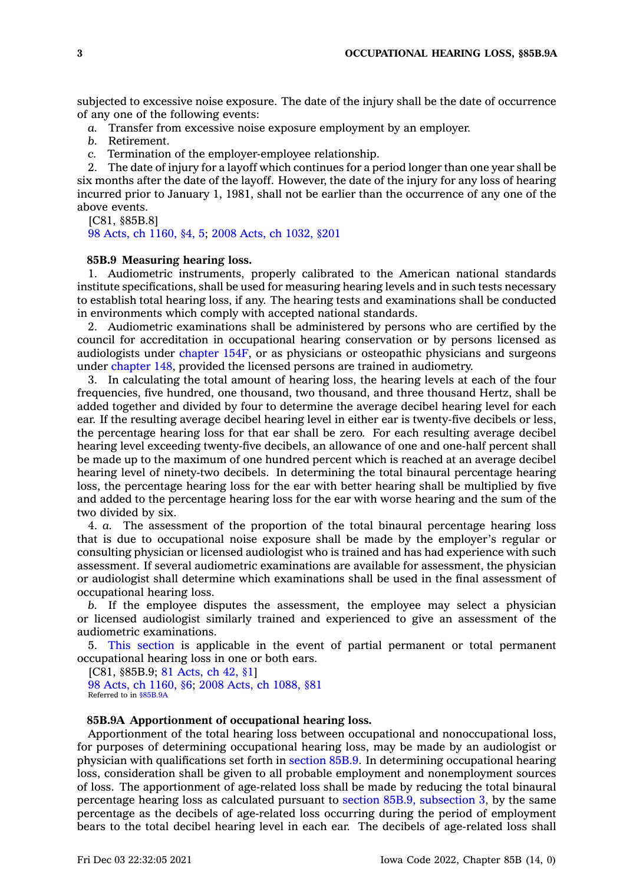subjected to excessive noise exposure. The date of the injury shall be the date of occurrence of any one of the following events:

*a.* Transfer from excessive noise exposure employment by an employer.

*b.* Retirement.

*c.* Termination of the employer-employee relationship.

2. The date of injury for <sup>a</sup> layoff which continues for <sup>a</sup> period longer than one year shall be six months after the date of the layoff. However, the date of the injury for any loss of hearing incurred prior to January 1, 1981, shall not be earlier than the occurrence of any one of the above events.

[C81, §85B.8]

98 Acts, ch [1160,](https://www.legis.iowa.gov/docs/acts/1998/CH1160.pdf) §4, 5; 2008 Acts, ch [1032,](https://www.legis.iowa.gov/docs/acts/2008/CH1032.pdf) §201

## **85B.9 Measuring hearing loss.**

1. Audiometric instruments, properly calibrated to the American national standards institute specifications, shall be used for measuring hearing levels and in such tests necessary to establish total hearing loss, if any. The hearing tests and examinations shall be conducted in environments which comply with accepted national standards.

2. Audiometric examinations shall be administered by persons who are certified by the council for accreditation in occupational hearing conservation or by persons licensed as audiologists under [chapter](https://www.legis.iowa.gov/docs/code//154F.pdf) 154F, or as physicians or osteopathic physicians and surgeons under [chapter](https://www.legis.iowa.gov/docs/code//148.pdf) 148, provided the licensed persons are trained in audiometry.

3. In calculating the total amount of hearing loss, the hearing levels at each of the four frequencies, five hundred, one thousand, two thousand, and three thousand Hertz, shall be added together and divided by four to determine the average decibel hearing level for each ear. If the resulting average decibel hearing level in either ear is twenty-five decibels or less, the percentage hearing loss for that ear shall be zero. For each resulting average decibel hearing level exceeding twenty-five decibels, an allowance of one and one-half percent shall be made up to the maximum of one hundred percent which is reached at an average decibel hearing level of ninety-two decibels. In determining the total binaural percentage hearing loss, the percentage hearing loss for the ear with better hearing shall be multiplied by five and added to the percentage hearing loss for the ear with worse hearing and the sum of the two divided by six.

4. *a.* The assessment of the proportion of the total binaural percentage hearing loss that is due to occupational noise exposure shall be made by the employer's regular or consulting physician or licensed audiologist who is trained and has had experience with such assessment. If several audiometric examinations are available for assessment, the physician or audiologist shall determine which examinations shall be used in the final assessment of occupational hearing loss.

*b.* If the employee disputes the assessment, the employee may select <sup>a</sup> physician or licensed audiologist similarly trained and experienced to give an assessment of the audiometric examinations.

5. This [section](https://www.legis.iowa.gov/docs/code/85B.9.pdf) is applicable in the event of partial permanent or total permanent occupational hearing loss in one or both ears.

[C81, §85B.9; 81 [Acts,](https://www.legis.iowa.gov/docs/acts/1981/CH0042.pdf) ch 42, §1] 98 Acts, ch [1160,](https://www.legis.iowa.gov/docs/acts/1998/CH1160.pdf) §6; 2008 Acts, ch [1088,](https://www.legis.iowa.gov/docs/acts/2008/CH1088.pdf) §81

Referred to in [§85B.9A](https://www.legis.iowa.gov/docs/code/85B.9A.pdf)

### **85B.9A Apportionment of occupational hearing loss.**

Apportionment of the total hearing loss between occupational and nonoccupational loss, for purposes of determining occupational hearing loss, may be made by an audiologist or physician with qualifications set forth in [section](https://www.legis.iowa.gov/docs/code/85B.9.pdf) 85B.9. In determining occupational hearing loss, consideration shall be given to all probable employment and nonemployment sources of loss. The apportionment of age-related loss shall be made by reducing the total binaural percentage hearing loss as calculated pursuant to section 85B.9, [subsection](https://www.legis.iowa.gov/docs/code/85B.9.pdf) 3, by the same percentage as the decibels of age-related loss occurring during the period of employment bears to the total decibel hearing level in each ear. The decibels of age-related loss shall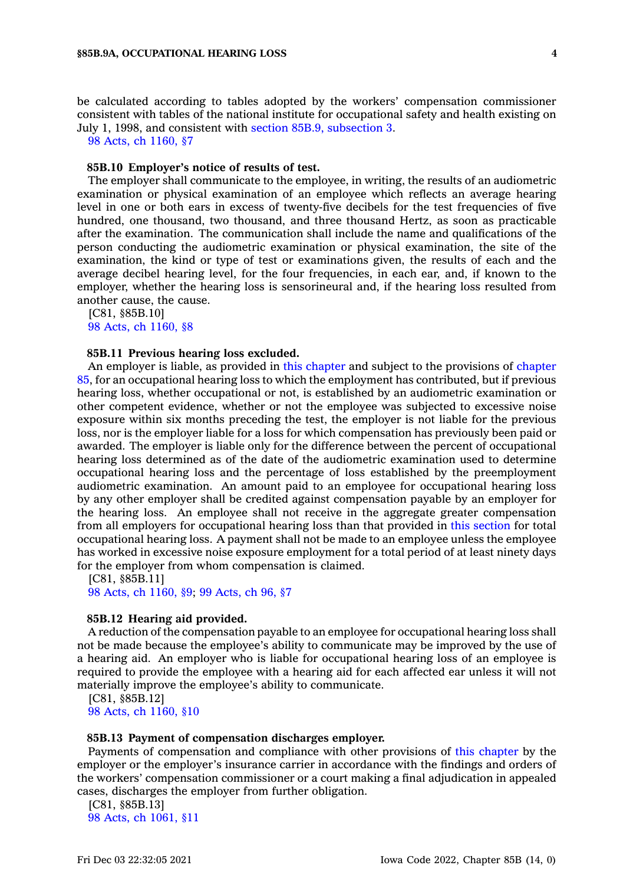be calculated according to tables adopted by the workers' compensation commissioner consistent with tables of the national institute for occupational safety and health existing on July 1, 1998, and consistent with section 85B.9, [subsection](https://www.legis.iowa.gov/docs/code/85B.9.pdf) 3.

98 Acts, ch [1160,](https://www.legis.iowa.gov/docs/acts/1998/CH1160.pdf) §7

#### **85B.10 Employer's notice of results of test.**

The employer shall communicate to the employee, in writing, the results of an audiometric examination or physical examination of an employee which reflects an average hearing level in one or both ears in excess of twenty-five decibels for the test frequencies of five hundred, one thousand, two thousand, and three thousand Hertz, as soon as practicable after the examination. The communication shall include the name and qualifications of the person conducting the audiometric examination or physical examination, the site of the examination, the kind or type of test or examinations given, the results of each and the average decibel hearing level, for the four frequencies, in each ear, and, if known to the employer, whether the hearing loss is sensorineural and, if the hearing loss resulted from another cause, the cause.

[C81, §85B.10] 98 Acts, ch [1160,](https://www.legis.iowa.gov/docs/acts/1998/CH1160.pdf) §8

#### **85B.11 Previous hearing loss excluded.**

An employer is liable, as provided in this [chapter](https://www.legis.iowa.gov/docs/code//85B.pdf) and subject to the provisions of [chapter](https://www.legis.iowa.gov/docs/code//85.pdf) [85](https://www.legis.iowa.gov/docs/code//85.pdf), for an occupational hearing loss to which the employment has contributed, but if previous hearing loss, whether occupational or not, is established by an audiometric examination or other competent evidence, whether or not the employee was subjected to excessive noise exposure within six months preceding the test, the employer is not liable for the previous loss, nor is the employer liable for <sup>a</sup> loss for which compensation has previously been paid or awarded. The employer is liable only for the difference between the percent of occupational hearing loss determined as of the date of the audiometric examination used to determine occupational hearing loss and the percentage of loss established by the preemployment audiometric examination. An amount paid to an employee for occupational hearing loss by any other employer shall be credited against compensation payable by an employer for the hearing loss. An employee shall not receive in the aggregate greater compensation from all employers for occupational hearing loss than that provided in this [section](https://www.legis.iowa.gov/docs/code/85B.11.pdf) for total occupational hearing loss. A payment shall not be made to an employee unless the employee has worked in excessive noise exposure employment for <sup>a</sup> total period of at least ninety days for the employer from whom compensation is claimed.

[C81, §85B.11]

98 Acts, ch [1160,](https://www.legis.iowa.gov/docs/acts/1998/CH1160.pdf) §9; 99 [Acts,](https://www.legis.iowa.gov/docs/acts/1999/CH0096.pdf) ch 96, §7

#### **85B.12 Hearing aid provided.**

A reduction of the compensation payable to an employee for occupational hearing loss shall not be made because the employee's ability to communicate may be improved by the use of <sup>a</sup> hearing aid. An employer who is liable for occupational hearing loss of an employee is required to provide the employee with <sup>a</sup> hearing aid for each affected ear unless it will not materially improve the employee's ability to communicate.

[C81, §85B.12] 98 Acts, ch [1160,](https://www.legis.iowa.gov/docs/acts/1998/CH1160.pdf) §10

## **85B.13 Payment of compensation discharges employer.**

Payments of compensation and compliance with other provisions of this [chapter](https://www.legis.iowa.gov/docs/code//85B.pdf) by the employer or the employer's insurance carrier in accordance with the findings and orders of the workers' compensation commissioner or <sup>a</sup> court making <sup>a</sup> final adjudication in appealed cases, discharges the employer from further obligation.

[C81, §85B.13] 98 Acts, ch [1061,](https://www.legis.iowa.gov/docs/acts/1998/CH1061.pdf) §11